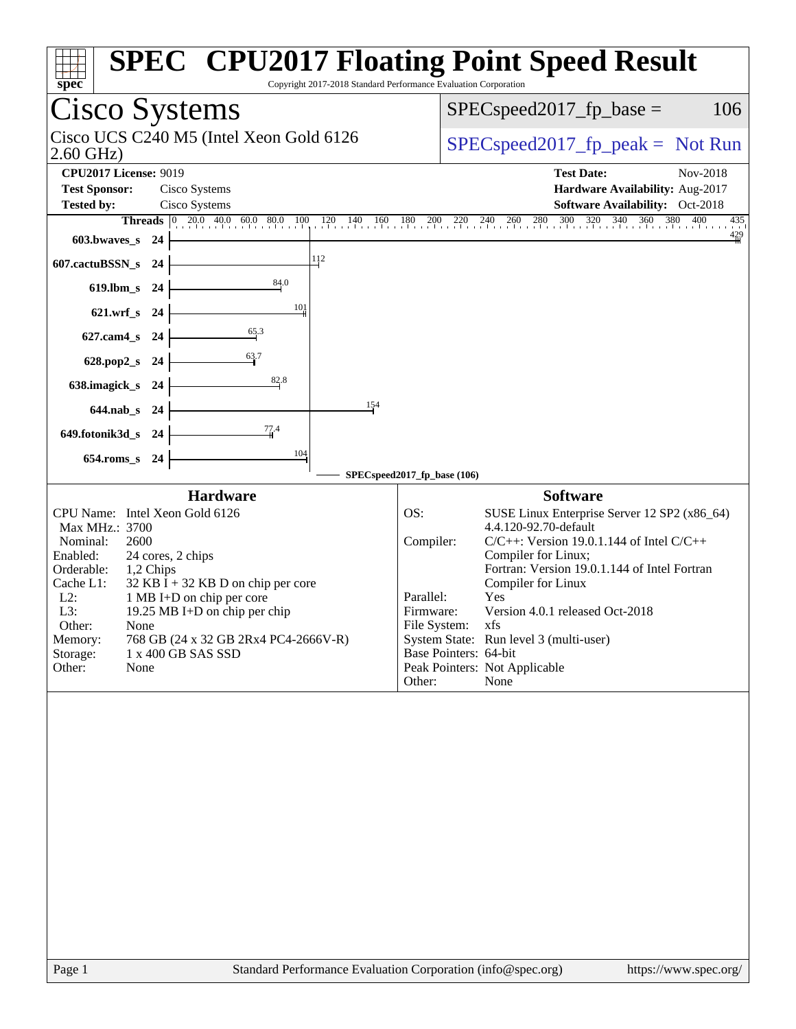| spec                                                                                                                                                                                                                                                                                                                                                                                                                                                                                                                                                                                  | <b>SPEC<sup>®</sup> CPU2017 Floating Point Speed Result</b><br>Copyright 2017-2018 Standard Performance Evaluation Corporation                                                                                                                                                                                                                                                                      |
|---------------------------------------------------------------------------------------------------------------------------------------------------------------------------------------------------------------------------------------------------------------------------------------------------------------------------------------------------------------------------------------------------------------------------------------------------------------------------------------------------------------------------------------------------------------------------------------|-----------------------------------------------------------------------------------------------------------------------------------------------------------------------------------------------------------------------------------------------------------------------------------------------------------------------------------------------------------------------------------------------------|
| Cisco Systems                                                                                                                                                                                                                                                                                                                                                                                                                                                                                                                                                                         | $SPEC speed2017_fp\_base =$<br>106                                                                                                                                                                                                                                                                                                                                                                  |
| Cisco UCS C240 M5 (Intel Xeon Gold 6126<br>$2.60$ GHz)                                                                                                                                                                                                                                                                                                                                                                                                                                                                                                                                | $SPEC speed2017_fp\_peak = Not Run$                                                                                                                                                                                                                                                                                                                                                                 |
| <b>CPU2017 License: 9019</b><br><b>Test Sponsor:</b><br>Cisco Systems                                                                                                                                                                                                                                                                                                                                                                                                                                                                                                                 | <b>Test Date:</b><br>Nov-2018<br>Hardware Availability: Aug-2017                                                                                                                                                                                                                                                                                                                                    |
| Cisco Systems<br><b>Tested by:</b><br>$\begin{array}{ ccc } \hline 0 & 20.0 & 40.0 & 60.0 & 80.0 \\ \hline \end{array}$<br><b>Threads</b><br>100<br>120<br>140<br>160<br>603.bwaves_s 24<br>112<br>607.cactuBSSN_s 24<br>84.0<br>619.lbm_s 24<br>101<br>$621.wrf$ <sub>S</sub><br>- 24<br>$\frac{65.3}{4}$<br>$627$ .cam $4_s$<br>-24<br>63.7<br>628.pop2_s<br>-24<br>82.8<br>638.imagick_s<br>- 24<br>154<br>644.nab_s 24<br>77.4<br>649.fotonik3d_s<br>-24<br>104<br>$654$ .roms_s<br>24<br><b>Hardware</b><br>CPU Name: Intel Xeon Gold 6126<br>Max MHz.: 3700<br>Nominal:<br>2600 | Software Availability: Oct-2018<br>$\frac{360}{1}$<br>380<br>$\frac{180}{1}$<br>$^{200}_{11}$<br>260 280 300<br>$\frac{320}{1}$<br>$\frac{340}{1}$<br>400<br>$220 \t 240$<br>435<br>$\frac{429}{4}$<br>SPECspeed2017_fp_base (106)<br><b>Software</b><br>SUSE Linux Enterprise Server 12 SP2 (x86_64)<br>OS:<br>4.4.120-92.70-default<br>Compiler:<br>$C/C++$ : Version 19.0.1.144 of Intel $C/C++$ |
| Enabled:<br>24 cores, 2 chips<br>Orderable:<br>1,2 Chips<br>Cache L1:<br>$32$ KB I + 32 KB D on chip per core<br>$L2$ :<br>1 MB I+D on chip per core<br>L3:<br>19.25 MB I+D on chip per chip<br>Other:<br>None<br>768 GB (24 x 32 GB 2Rx4 PC4-2666V-R)<br>Memory:<br>Storage:<br>1 x 400 GB SAS SSD<br>Other:<br>None                                                                                                                                                                                                                                                                 | Compiler for Linux;<br>Fortran: Version 19.0.1.144 of Intel Fortran<br>Compiler for Linux<br>Yes<br>Parallel:<br>Version 4.0.1 released Oct-2018<br>Firmware:<br>File System: xfs<br>System State: Run level 3 (multi-user)<br>Base Pointers: 64-bit<br>Peak Pointers: Not Applicable                                                                                                               |
|                                                                                                                                                                                                                                                                                                                                                                                                                                                                                                                                                                                       | Other:<br>None                                                                                                                                                                                                                                                                                                                                                                                      |
| $\mathbf{p}_{\alpha\alpha\alpha}$ 1<br>Standard Performance Evaluation Corporation (info@spec.org)                                                                                                                                                                                                                                                                                                                                                                                                                                                                                    | http://www.                                                                                                                                                                                                                                                                                                                                                                                         |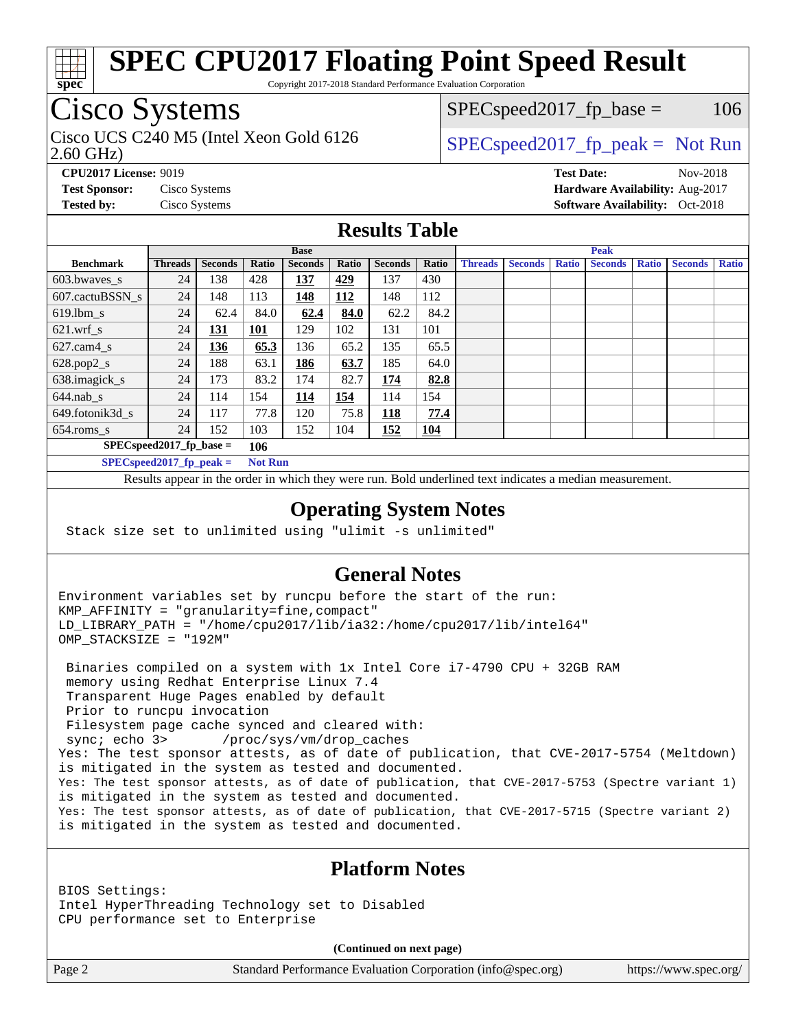

Copyright 2017-2018 Standard Performance Evaluation Corporation

# Cisco Systems

2.60 GHz) Cisco UCS C240 M5 (Intel Xeon Gold 6126  $\vert$  [SPECspeed2017\\_fp\\_peak =](http://www.spec.org/auto/cpu2017/Docs/result-fields.html#SPECspeed2017fppeak) Not Run

 $SPEC speed2017<sub>fp</sub> base =  $106$$ 

**[Tested by:](http://www.spec.org/auto/cpu2017/Docs/result-fields.html#Testedby)** Cisco Systems **Cisco Systems [Software Availability:](http://www.spec.org/auto/cpu2017/Docs/result-fields.html#SoftwareAvailability)** Oct-2018

**[CPU2017 License:](http://www.spec.org/auto/cpu2017/Docs/result-fields.html#CPU2017License)** 9019 **[Test Date:](http://www.spec.org/auto/cpu2017/Docs/result-fields.html#TestDate)** Nov-2018 **[Test Sponsor:](http://www.spec.org/auto/cpu2017/Docs/result-fields.html#TestSponsor)** Cisco Systems **[Hardware Availability:](http://www.spec.org/auto/cpu2017/Docs/result-fields.html#HardwareAvailability)** Aug-2017

## **[Results Table](http://www.spec.org/auto/cpu2017/Docs/result-fields.html#ResultsTable)**

|                             | <b>Base</b>    |                |                |                |            | <b>Peak</b>    |            |                |                |              |                |              |                |              |
|-----------------------------|----------------|----------------|----------------|----------------|------------|----------------|------------|----------------|----------------|--------------|----------------|--------------|----------------|--------------|
| <b>Benchmark</b>            | <b>Threads</b> | <b>Seconds</b> | Ratio          | <b>Seconds</b> | Ratio      | <b>Seconds</b> | Ratio      | <b>Threads</b> | <b>Seconds</b> | <b>Ratio</b> | <b>Seconds</b> | <b>Ratio</b> | <b>Seconds</b> | <b>Ratio</b> |
| 603.bwayes s                | 24             | 138            | 428            | <u> 137</u>    | 429        | 137            | 430        |                |                |              |                |              |                |              |
| 607.cactuBSSN s             | 24             | 148            | 113            | 148            | <b>112</b> | 148            | 112        |                |                |              |                |              |                |              |
| $619.1$ bm s                | 24             | 62.4           | 84.0           | 62.4           | 84.0       | 62.2           | 84.2       |                |                |              |                |              |                |              |
| $621.wrf$ s                 | 24             | <u>131</u>     | 101            | 129            | 102        | 131            | 101        |                |                |              |                |              |                |              |
| $627$ .cam $4$ <sub>S</sub> | 24             | 136            | 65.3           | 136            | 65.2       | 135            | 65.5       |                |                |              |                |              |                |              |
| $628.pop2_s$                | 24             | 188            | 63.1           | 186            | 63.7       | 185            | 64.0       |                |                |              |                |              |                |              |
| 638.imagick_s               | 24             | 173            | 83.2           | 174            | 82.7       | 174            | 82.8       |                |                |              |                |              |                |              |
| $644$ .nab s                | 24             | 114            | 154            | 114            | 154        | 114            | 154        |                |                |              |                |              |                |              |
| 649.fotonik3d s             | 24             | 117            | 77.8           | 120            | 75.8       | 118            | 77.4       |                |                |              |                |              |                |              |
| $654$ .roms s               | 24             | 152            | 103            | 152            | 104        | 152            | <b>104</b> |                |                |              |                |              |                |              |
| $SPEC speed2017$ fp base =  |                |                | 106            |                |            |                |            |                |                |              |                |              |                |              |
| $SPECspeed2017_fp\_peak =$  |                |                | <b>Not Run</b> |                |            |                |            |                |                |              |                |              |                |              |

Results appear in the [order in which they were run.](http://www.spec.org/auto/cpu2017/Docs/result-fields.html#RunOrder) Bold underlined text [indicates a median measurement](http://www.spec.org/auto/cpu2017/Docs/result-fields.html#Median).

### **[Operating System Notes](http://www.spec.org/auto/cpu2017/Docs/result-fields.html#OperatingSystemNotes)**

Stack size set to unlimited using "ulimit -s unlimited"

## **[General Notes](http://www.spec.org/auto/cpu2017/Docs/result-fields.html#GeneralNotes)**

Environment variables set by runcpu before the start of the run: KMP\_AFFINITY = "granularity=fine,compact" LD\_LIBRARY\_PATH = "/home/cpu2017/lib/ia32:/home/cpu2017/lib/intel64" OMP\_STACKSIZE = "192M"

 Binaries compiled on a system with 1x Intel Core i7-4790 CPU + 32GB RAM memory using Redhat Enterprise Linux 7.4 Transparent Huge Pages enabled by default Prior to runcpu invocation Filesystem page cache synced and cleared with: sync; echo 3> /proc/sys/vm/drop\_caches Yes: The test sponsor attests, as of date of publication, that CVE-2017-5754 (Meltdown) is mitigated in the system as tested and documented. Yes: The test sponsor attests, as of date of publication, that CVE-2017-5753 (Spectre variant 1) is mitigated in the system as tested and documented. Yes: The test sponsor attests, as of date of publication, that CVE-2017-5715 (Spectre variant 2) is mitigated in the system as tested and documented.

## **[Platform Notes](http://www.spec.org/auto/cpu2017/Docs/result-fields.html#PlatformNotes)**

BIOS Settings: Intel HyperThreading Technology set to Disabled CPU performance set to Enterprise

**(Continued on next page)**

Page 2 Standard Performance Evaluation Corporation [\(info@spec.org\)](mailto:info@spec.org) <https://www.spec.org/>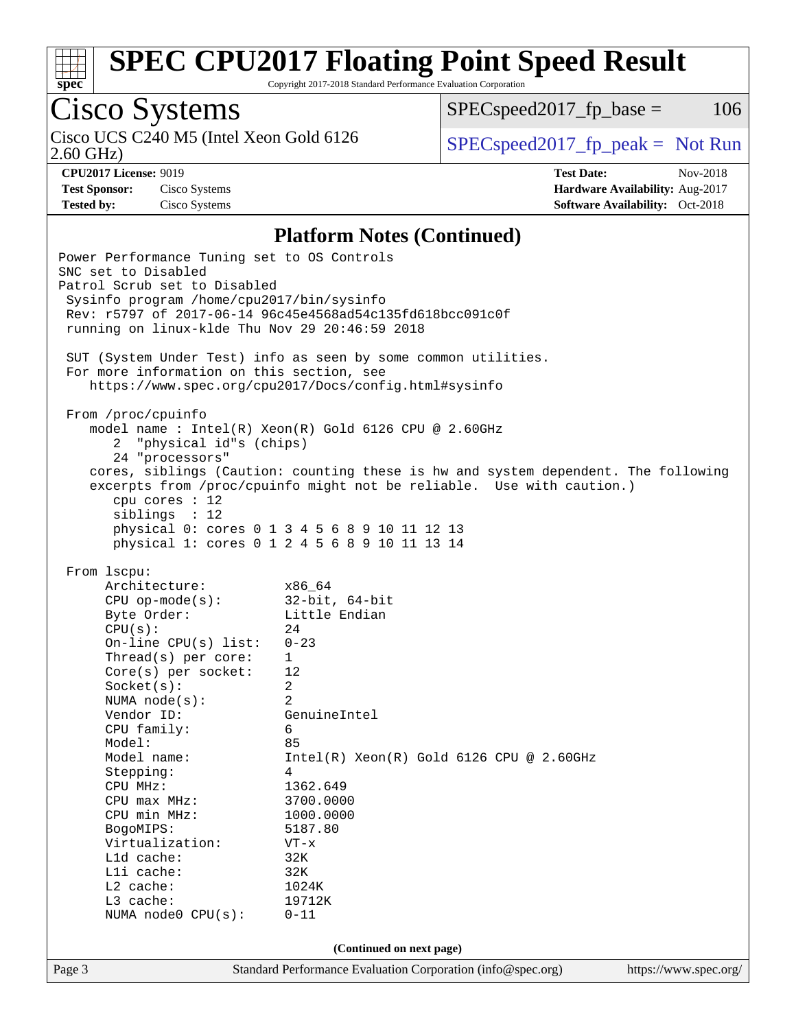

Copyright 2017-2018 Standard Performance Evaluation Corporation

# Cisco Systems

 $SPEC speed2017<sub>fp</sub> base =  $106$$ 

2.60 GHz)

Cisco UCS C240 M5 (Intel Xeon Gold 6126  $\vert$  [SPECspeed2017\\_fp\\_peak =](http://www.spec.org/auto/cpu2017/Docs/result-fields.html#SPECspeed2017fppeak) Not Run

**[CPU2017 License:](http://www.spec.org/auto/cpu2017/Docs/result-fields.html#CPU2017License)** 9019 **[Test Date:](http://www.spec.org/auto/cpu2017/Docs/result-fields.html#TestDate)** Nov-2018 **[Test Sponsor:](http://www.spec.org/auto/cpu2017/Docs/result-fields.html#TestSponsor)** Cisco Systems **[Hardware Availability:](http://www.spec.org/auto/cpu2017/Docs/result-fields.html#HardwareAvailability)** Aug-2017 **[Tested by:](http://www.spec.org/auto/cpu2017/Docs/result-fields.html#Testedby)** Cisco Systems **[Software Availability:](http://www.spec.org/auto/cpu2017/Docs/result-fields.html#SoftwareAvailability)** Oct-2018

### **[Platform Notes \(Continued\)](http://www.spec.org/auto/cpu2017/Docs/result-fields.html#PlatformNotes)**

Page 3 Standard Performance Evaluation Corporation [\(info@spec.org\)](mailto:info@spec.org) <https://www.spec.org/> Power Performance Tuning set to OS Controls SNC set to Disabled Patrol Scrub set to Disabled Sysinfo program /home/cpu2017/bin/sysinfo Rev: r5797 of 2017-06-14 96c45e4568ad54c135fd618bcc091c0f running on linux-klde Thu Nov 29 20:46:59 2018 SUT (System Under Test) info as seen by some common utilities. For more information on this section, see <https://www.spec.org/cpu2017/Docs/config.html#sysinfo> From /proc/cpuinfo model name : Intel(R) Xeon(R) Gold 6126 CPU @ 2.60GHz 2 "physical id"s (chips) 24 "processors" cores, siblings (Caution: counting these is hw and system dependent. The following excerpts from /proc/cpuinfo might not be reliable. Use with caution.) cpu cores : 12 siblings : 12 physical 0: cores 0 1 3 4 5 6 8 9 10 11 12 13 physical 1: cores 0 1 2 4 5 6 8 9 10 11 13 14 From lscpu: Architecture: x86\_64 CPU op-mode(s): 32-bit, 64-bit Byte Order: Little Endian  $CPU(s):$  24 On-line CPU(s) list: 0-23 Thread(s) per core: 1 Core(s) per socket: 12 Socket(s): 2 NUMA node(s): 2 Vendor ID: GenuineIntel CPU family: 6 Model: 85 Model name: Intel(R) Xeon(R) Gold 6126 CPU @ 2.60GHz Stepping: 4 CPU MHz: 1362.649 CPU max MHz: 3700.0000 CPU min MHz: 1000.0000 BogoMIPS: 5187.80 Virtualization: VT-x L1d cache: 32K L1i cache: 32K L2 cache: 1024K L3 cache: 19712K NUMA node0 CPU(s): 0-11 **(Continued on next page)**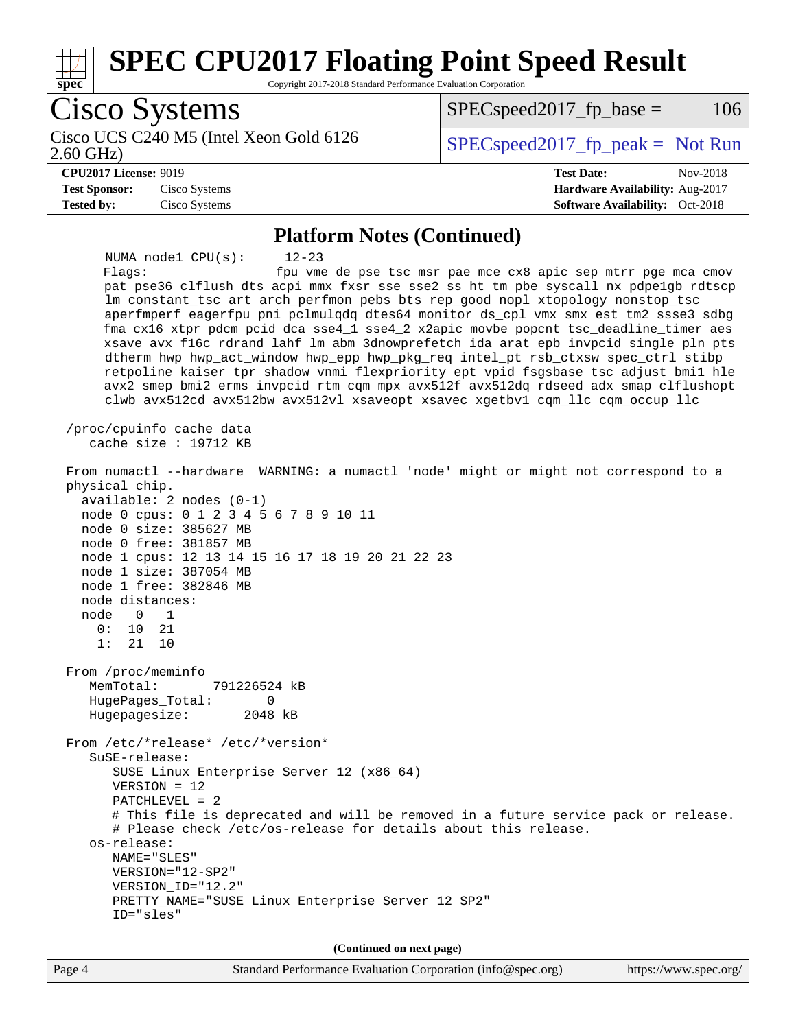

Copyright 2017-2018 Standard Performance Evaluation Corporation

Cisco Systems Cisco UCS C240 M5 (Intel Xeon Gold 6126<br>2.60 GHz)  $SPEC speed2017_fp\_peak = Not Run$  $SPEC speed2017<sub>fp</sub> base =  $106$$ **[CPU2017 License:](http://www.spec.org/auto/cpu2017/Docs/result-fields.html#CPU2017License)** 9019 **[Test Date:](http://www.spec.org/auto/cpu2017/Docs/result-fields.html#TestDate)** Nov-2018 **[Test Sponsor:](http://www.spec.org/auto/cpu2017/Docs/result-fields.html#TestSponsor)** Cisco Systems **[Hardware Availability:](http://www.spec.org/auto/cpu2017/Docs/result-fields.html#HardwareAvailability)** Aug-2017 **[Tested by:](http://www.spec.org/auto/cpu2017/Docs/result-fields.html#Testedby)** Cisco Systems **[Software Availability:](http://www.spec.org/auto/cpu2017/Docs/result-fields.html#SoftwareAvailability)** Oct-2018 **[Platform Notes \(Continued\)](http://www.spec.org/auto/cpu2017/Docs/result-fields.html#PlatformNotes)** NUMA node1 CPU(s): 12-23 Flags: fpu vme de pse tsc msr pae mce cx8 apic sep mtrr pge mca cmov pat pse36 clflush dts acpi mmx fxsr sse sse2 ss ht tm pbe syscall nx pdpe1gb rdtscp lm constant\_tsc art arch\_perfmon pebs bts rep\_good nopl xtopology nonstop\_tsc aperfmperf eagerfpu pni pclmulqdq dtes64 monitor ds\_cpl vmx smx est tm2 ssse3 sdbg fma cx16 xtpr pdcm pcid dca sse4\_1 sse4\_2 x2apic movbe popcnt tsc\_deadline\_timer aes xsave avx f16c rdrand lahf\_lm abm 3dnowprefetch ida arat epb invpcid\_single pln pts dtherm hwp hwp\_act\_window hwp\_epp hwp\_pkg\_req intel\_pt rsb\_ctxsw spec\_ctrl stibp retpoline kaiser tpr\_shadow vnmi flexpriority ept vpid fsgsbase tsc\_adjust bmi1 hle avx2 smep bmi2 erms invpcid rtm cqm mpx avx512f avx512dq rdseed adx smap clflushopt clwb avx512cd avx512bw avx512vl xsaveopt xsavec xgetbv1 cqm\_llc cqm\_occup\_llc /proc/cpuinfo cache data cache size : 19712 KB From numactl --hardware WARNING: a numactl 'node' might or might not correspond to a physical chip. available: 2 nodes (0-1) node 0 cpus: 0 1 2 3 4 5 6 7 8 9 10 11 node 0 size: 385627 MB node 0 free: 381857 MB node 1 cpus: 12 13 14 15 16 17 18 19 20 21 22 23 node 1 size: 387054 MB node 1 free: 382846 MB node distances: node 0 1 0: 10 21 1: 21 10 From /proc/meminfo MemTotal: 791226524 kB HugePages\_Total: 0 Hugepagesize: 2048 kB From /etc/\*release\* /etc/\*version\* SuSE-release: SUSE Linux Enterprise Server 12 (x86\_64) VERSION = 12 PATCHLEVEL = 2 # This file is deprecated and will be removed in a future service pack or release. # Please check /etc/os-release for details about this release. os-release: NAME="SLES" VERSION="12-SP2" VERSION\_ID="12.2" PRETTY\_NAME="SUSE Linux Enterprise Server 12 SP2" ID="sles" **(Continued on next page)**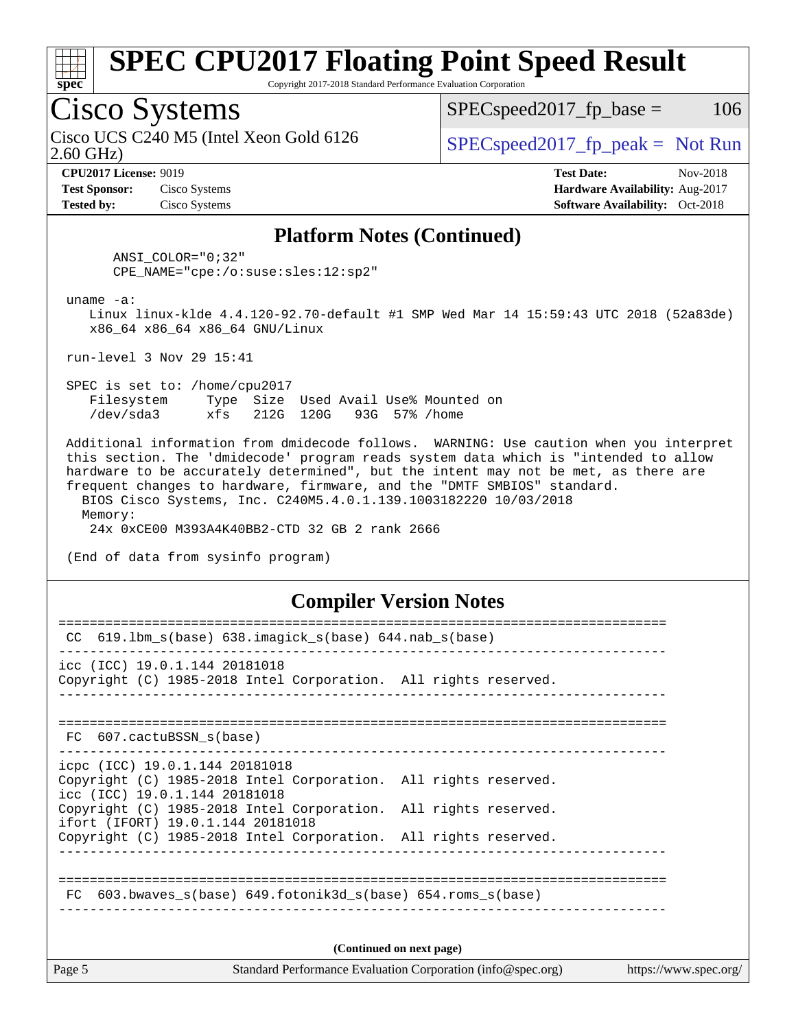

Copyright 2017-2018 Standard Performance Evaluation Corporation

## Cisco Systems

2.60 GHz) Cisco UCS C240 M5 (Intel Xeon Gold 6126  $\vert$  [SPECspeed2017\\_fp\\_peak =](http://www.spec.org/auto/cpu2017/Docs/result-fields.html#SPECspeed2017fppeak) Not Run

 $SPEC speed2017_fp\_base = 106$ 

**[Test Sponsor:](http://www.spec.org/auto/cpu2017/Docs/result-fields.html#TestSponsor)** Cisco Systems **[Hardware Availability:](http://www.spec.org/auto/cpu2017/Docs/result-fields.html#HardwareAvailability)** Aug-2017 **[Tested by:](http://www.spec.org/auto/cpu2017/Docs/result-fields.html#Testedby)** Cisco Systems **[Software Availability:](http://www.spec.org/auto/cpu2017/Docs/result-fields.html#SoftwareAvailability)** Oct-2018

**[CPU2017 License:](http://www.spec.org/auto/cpu2017/Docs/result-fields.html#CPU2017License)** 9019 **[Test Date:](http://www.spec.org/auto/cpu2017/Docs/result-fields.html#TestDate)** Nov-2018

### **[Platform Notes \(Continued\)](http://www.spec.org/auto/cpu2017/Docs/result-fields.html#PlatformNotes)**

 ANSI\_COLOR="0;32" CPE\_NAME="cpe:/o:suse:sles:12:sp2"

uname -a:

 Linux linux-klde 4.4.120-92.70-default #1 SMP Wed Mar 14 15:59:43 UTC 2018 (52a83de) x86\_64 x86\_64 x86\_64 GNU/Linux

run-level 3 Nov 29 15:41

 SPEC is set to: /home/cpu2017 Filesystem Type Size Used Avail Use% Mounted on /dev/sda3 xfs 212G 120G 93G 57% /home

 Additional information from dmidecode follows. WARNING: Use caution when you interpret this section. The 'dmidecode' program reads system data which is "intended to allow hardware to be accurately determined", but the intent may not be met, as there are frequent changes to hardware, firmware, and the "DMTF SMBIOS" standard. BIOS Cisco Systems, Inc. C240M5.4.0.1.139.1003182220 10/03/2018

 Memory: 24x 0xCE00 M393A4K40BB2-CTD 32 GB 2 rank 2666

(End of data from sysinfo program)

### **[Compiler Version Notes](http://www.spec.org/auto/cpu2017/Docs/result-fields.html#CompilerVersionNotes)**

| Page 5 | Standard Performance Evaluation Corporation (info@spec.org)<br>https://www.spec.org/                 |  |  |  |  |
|--------|------------------------------------------------------------------------------------------------------|--|--|--|--|
|        | (Continued on next page)                                                                             |  |  |  |  |
|        | FC 603.bwaves s(base) 649.fotonik3d s(base) 654.roms s(base)                                         |  |  |  |  |
|        |                                                                                                      |  |  |  |  |
|        | ifort (IFORT) 19.0.1.144 20181018<br>Copyright (C) 1985-2018 Intel Corporation. All rights reserved. |  |  |  |  |
|        | icc (ICC) 19.0.1.144 20181018<br>Copyright (C) 1985-2018 Intel Corporation. All rights reserved.     |  |  |  |  |
|        | icpc (ICC) 19.0.1.144 20181018<br>Copyright (C) 1985-2018 Intel Corporation. All rights reserved.    |  |  |  |  |
|        | FC 607.cactuBSSN s(base)                                                                             |  |  |  |  |
|        |                                                                                                      |  |  |  |  |
|        | Copyright (C) 1985-2018 Intel Corporation. All rights reserved.                                      |  |  |  |  |
|        | icc (ICC) 19.0.1.144 20181018                                                                        |  |  |  |  |
| CC.    | $619.1$ bm_s(base) $638.imagick_s(base)$ $644.nab_s(base)$                                           |  |  |  |  |
|        |                                                                                                      |  |  |  |  |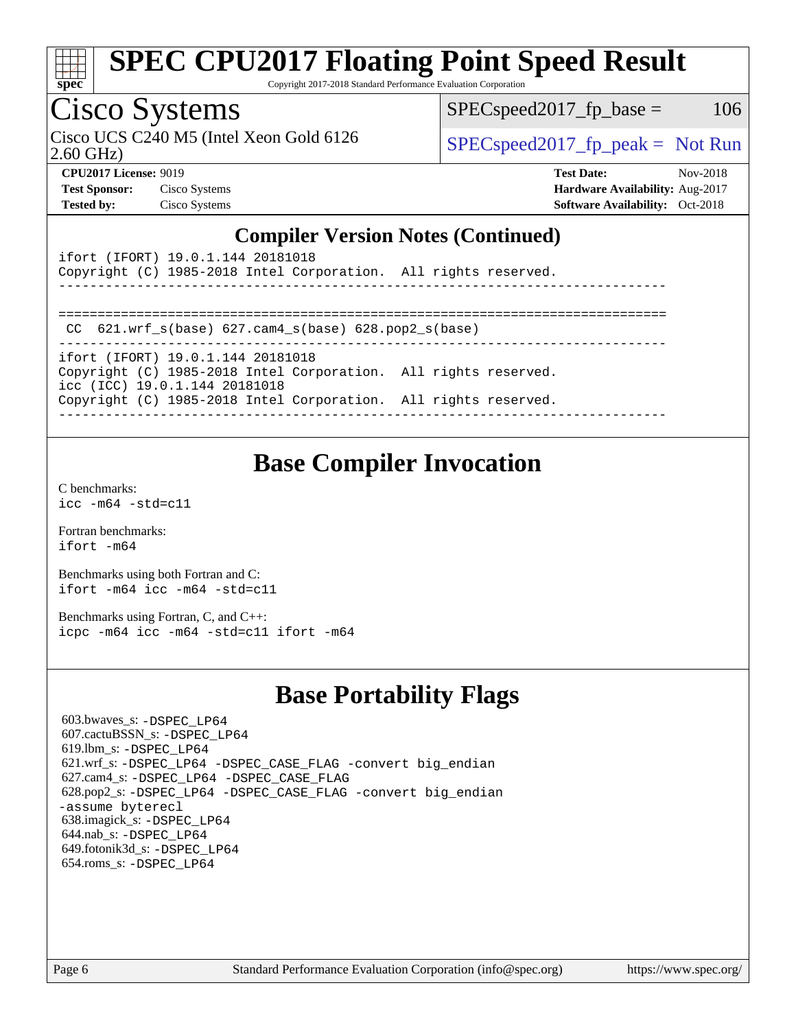

Copyright 2017-2018 Standard Performance Evaluation Corporation

## Cisco Systems

Cisco UCS C240 M5 (Intel Xeon Gold 6126  $\big|$  [SPECspeed2017\\_fp\\_peak =](http://www.spec.org/auto/cpu2017/Docs/result-fields.html#SPECspeed2017fppeak) Not Run

 $SPEC speed2017<sub>fp</sub> base =  $106$$ 

2.60 GHz)

**[Tested by:](http://www.spec.org/auto/cpu2017/Docs/result-fields.html#Testedby)** Cisco Systems **[Software Availability:](http://www.spec.org/auto/cpu2017/Docs/result-fields.html#SoftwareAvailability)** Oct-2018

**[CPU2017 License:](http://www.spec.org/auto/cpu2017/Docs/result-fields.html#CPU2017License)** 9019 **[Test Date:](http://www.spec.org/auto/cpu2017/Docs/result-fields.html#TestDate)** Nov-2018 **[Test Sponsor:](http://www.spec.org/auto/cpu2017/Docs/result-fields.html#TestSponsor)** Cisco Systems **[Hardware Availability:](http://www.spec.org/auto/cpu2017/Docs/result-fields.html#HardwareAvailability)** Aug-2017

### **[Compiler Version Notes \(Continued\)](http://www.spec.org/auto/cpu2017/Docs/result-fields.html#CompilerVersionNotes)**

| ifort (IFORT) 19.0.1.144 20181018<br>Copyright (C) 1985-2018 Intel Corporation. All rights reserved. |  |
|------------------------------------------------------------------------------------------------------|--|
| CC $621.$ wrf $s(base)$ $627.$ cam4 $s(base)$ $628.$ pop2 $s(base)$                                  |  |
| ifort (IFORT) 19.0.1.144 20181018                                                                    |  |
| Copyright (C) 1985-2018 Intel Corporation. All rights reserved.<br>icc (ICC) 19.0.1.144 20181018     |  |
| Copyright (C) 1985-2018 Intel Corporation. All rights reserved.                                      |  |
|                                                                                                      |  |

## **[Base Compiler Invocation](http://www.spec.org/auto/cpu2017/Docs/result-fields.html#BaseCompilerInvocation)**

[C benchmarks](http://www.spec.org/auto/cpu2017/Docs/result-fields.html#Cbenchmarks): [icc -m64 -std=c11](http://www.spec.org/cpu2017/results/res2018q4/cpu2017-20181211-10249.flags.html#user_CCbase_intel_icc_64bit_c11_33ee0cdaae7deeeab2a9725423ba97205ce30f63b9926c2519791662299b76a0318f32ddfffdc46587804de3178b4f9328c46fa7c2b0cd779d7a61945c91cd35)

[Fortran benchmarks](http://www.spec.org/auto/cpu2017/Docs/result-fields.html#Fortranbenchmarks): [ifort -m64](http://www.spec.org/cpu2017/results/res2018q4/cpu2017-20181211-10249.flags.html#user_FCbase_intel_ifort_64bit_24f2bb282fbaeffd6157abe4f878425411749daecae9a33200eee2bee2fe76f3b89351d69a8130dd5949958ce389cf37ff59a95e7a40d588e8d3a57e0c3fd751)

[Benchmarks using both Fortran and C](http://www.spec.org/auto/cpu2017/Docs/result-fields.html#BenchmarksusingbothFortranandC): [ifort -m64](http://www.spec.org/cpu2017/results/res2018q4/cpu2017-20181211-10249.flags.html#user_CC_FCbase_intel_ifort_64bit_24f2bb282fbaeffd6157abe4f878425411749daecae9a33200eee2bee2fe76f3b89351d69a8130dd5949958ce389cf37ff59a95e7a40d588e8d3a57e0c3fd751) [icc -m64 -std=c11](http://www.spec.org/cpu2017/results/res2018q4/cpu2017-20181211-10249.flags.html#user_CC_FCbase_intel_icc_64bit_c11_33ee0cdaae7deeeab2a9725423ba97205ce30f63b9926c2519791662299b76a0318f32ddfffdc46587804de3178b4f9328c46fa7c2b0cd779d7a61945c91cd35)

[Benchmarks using Fortran, C, and C++:](http://www.spec.org/auto/cpu2017/Docs/result-fields.html#BenchmarksusingFortranCandCXX) [icpc -m64](http://www.spec.org/cpu2017/results/res2018q4/cpu2017-20181211-10249.flags.html#user_CC_CXX_FCbase_intel_icpc_64bit_4ecb2543ae3f1412ef961e0650ca070fec7b7afdcd6ed48761b84423119d1bf6bdf5cad15b44d48e7256388bc77273b966e5eb805aefd121eb22e9299b2ec9d9) [icc -m64 -std=c11](http://www.spec.org/cpu2017/results/res2018q4/cpu2017-20181211-10249.flags.html#user_CC_CXX_FCbase_intel_icc_64bit_c11_33ee0cdaae7deeeab2a9725423ba97205ce30f63b9926c2519791662299b76a0318f32ddfffdc46587804de3178b4f9328c46fa7c2b0cd779d7a61945c91cd35) [ifort -m64](http://www.spec.org/cpu2017/results/res2018q4/cpu2017-20181211-10249.flags.html#user_CC_CXX_FCbase_intel_ifort_64bit_24f2bb282fbaeffd6157abe4f878425411749daecae9a33200eee2bee2fe76f3b89351d69a8130dd5949958ce389cf37ff59a95e7a40d588e8d3a57e0c3fd751)

## **[Base Portability Flags](http://www.spec.org/auto/cpu2017/Docs/result-fields.html#BasePortabilityFlags)**

 603.bwaves\_s: [-DSPEC\\_LP64](http://www.spec.org/cpu2017/results/res2018q4/cpu2017-20181211-10249.flags.html#suite_basePORTABILITY603_bwaves_s_DSPEC_LP64) 607.cactuBSSN\_s: [-DSPEC\\_LP64](http://www.spec.org/cpu2017/results/res2018q4/cpu2017-20181211-10249.flags.html#suite_basePORTABILITY607_cactuBSSN_s_DSPEC_LP64) 619.lbm\_s: [-DSPEC\\_LP64](http://www.spec.org/cpu2017/results/res2018q4/cpu2017-20181211-10249.flags.html#suite_basePORTABILITY619_lbm_s_DSPEC_LP64) 621.wrf\_s: [-DSPEC\\_LP64](http://www.spec.org/cpu2017/results/res2018q4/cpu2017-20181211-10249.flags.html#suite_basePORTABILITY621_wrf_s_DSPEC_LP64) [-DSPEC\\_CASE\\_FLAG](http://www.spec.org/cpu2017/results/res2018q4/cpu2017-20181211-10249.flags.html#b621.wrf_s_baseCPORTABILITY_DSPEC_CASE_FLAG) [-convert big\\_endian](http://www.spec.org/cpu2017/results/res2018q4/cpu2017-20181211-10249.flags.html#user_baseFPORTABILITY621_wrf_s_convert_big_endian_c3194028bc08c63ac5d04de18c48ce6d347e4e562e8892b8bdbdc0214820426deb8554edfa529a3fb25a586e65a3d812c835984020483e7e73212c4d31a38223) 627.cam4\_s: [-DSPEC\\_LP64](http://www.spec.org/cpu2017/results/res2018q4/cpu2017-20181211-10249.flags.html#suite_basePORTABILITY627_cam4_s_DSPEC_LP64) [-DSPEC\\_CASE\\_FLAG](http://www.spec.org/cpu2017/results/res2018q4/cpu2017-20181211-10249.flags.html#b627.cam4_s_baseCPORTABILITY_DSPEC_CASE_FLAG) 628.pop2\_s: [-DSPEC\\_LP64](http://www.spec.org/cpu2017/results/res2018q4/cpu2017-20181211-10249.flags.html#suite_basePORTABILITY628_pop2_s_DSPEC_LP64) [-DSPEC\\_CASE\\_FLAG](http://www.spec.org/cpu2017/results/res2018q4/cpu2017-20181211-10249.flags.html#b628.pop2_s_baseCPORTABILITY_DSPEC_CASE_FLAG) [-convert big\\_endian](http://www.spec.org/cpu2017/results/res2018q4/cpu2017-20181211-10249.flags.html#user_baseFPORTABILITY628_pop2_s_convert_big_endian_c3194028bc08c63ac5d04de18c48ce6d347e4e562e8892b8bdbdc0214820426deb8554edfa529a3fb25a586e65a3d812c835984020483e7e73212c4d31a38223) [-assume byterecl](http://www.spec.org/cpu2017/results/res2018q4/cpu2017-20181211-10249.flags.html#user_baseFPORTABILITY628_pop2_s_assume_byterecl_7e47d18b9513cf18525430bbf0f2177aa9bf368bc7a059c09b2c06a34b53bd3447c950d3f8d6c70e3faf3a05c8557d66a5798b567902e8849adc142926523472) 638.imagick\_s: [-DSPEC\\_LP64](http://www.spec.org/cpu2017/results/res2018q4/cpu2017-20181211-10249.flags.html#suite_basePORTABILITY638_imagick_s_DSPEC_LP64) 644.nab\_s: [-DSPEC\\_LP64](http://www.spec.org/cpu2017/results/res2018q4/cpu2017-20181211-10249.flags.html#suite_basePORTABILITY644_nab_s_DSPEC_LP64) 649.fotonik3d\_s: [-DSPEC\\_LP64](http://www.spec.org/cpu2017/results/res2018q4/cpu2017-20181211-10249.flags.html#suite_basePORTABILITY649_fotonik3d_s_DSPEC_LP64) 654.roms\_s: [-DSPEC\\_LP64](http://www.spec.org/cpu2017/results/res2018q4/cpu2017-20181211-10249.flags.html#suite_basePORTABILITY654_roms_s_DSPEC_LP64)